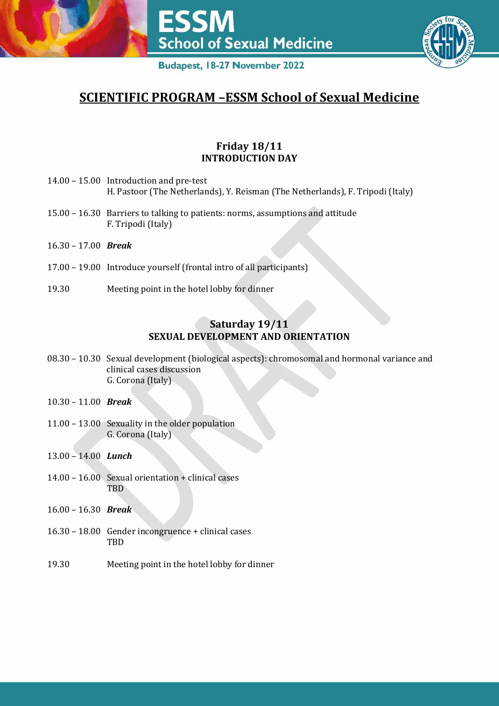

# **SCIENTIFIC PROGRAM –ESSM School of Sexual Medicine**

# **Friday 18/11 INTRODUCTION DAY**

- 14.00 15.00 Introduction and pre-test H. Pastoor (The Netherlands), Y. Reisman (The Netherlands), F. Tripodi (Italy)
- 15.00 16.30 Barriers to talking to patients: norms, assumptions and attitude F. Tripodi (Italy)
- 16.30 17.00 *Break*
- 17.00 19.00 Introduce yourself (frontal intro of all participants)
- 19.30 Meeting point in the hotel lobby for dinner

### **Saturday 19/11 SEXUAL DEVELOPMENT AND ORIENTATION**

- 08.30 10.30 Sexual development (biological aspects): chromosomal and hormonal variance and clinical cases discussion G. Corona (Italy)
- 10.30 11.00 *Break*
- 11.00 13.00 Sexuality in the older population G. Corona (Italy)
- 13.00 14.00 *Lunch*
- 14.00 16.00 Sexual orientation + clinical cases TBD
- 16.00 16.30 *Break*
- 16.30 18.00 Gender incongruence + clinical cases **TBD**
- 19.30 Meeting point in the hotel lobby for dinner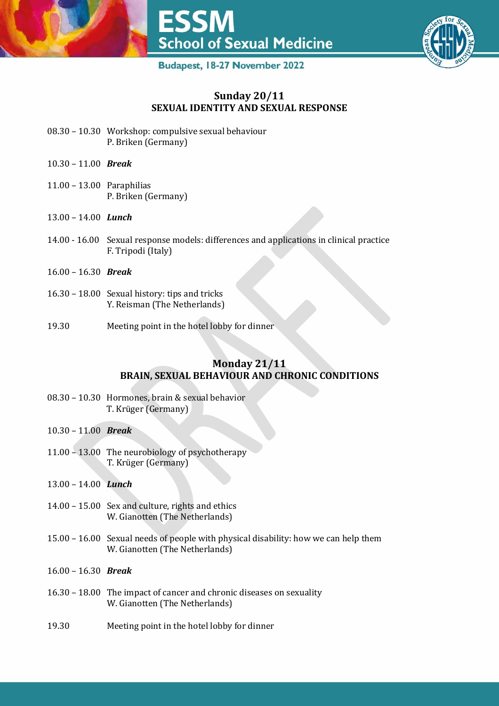



#### **Sunday 20/11 SEXUAL IDENTITY AND SEXUAL RESPONSE**

- 08.30 10.30 Workshop: compulsive sexual behaviour P. Briken (Germany)
- 10.30 11.00 *Break*
- 11.00 13.00 Paraphilias P. Briken (Germany)
- 13.00 14.00 *Lunch*
- 14.00 16.00 Sexual response models: differences and applications in clinical practice F. Tripodi (Italy)
- 16.00 16.30 *Break*
- 16.30 18.00 Sexual history: tips and tricks Y. Reisman (The Netherlands)
- 19.30 Meeting point in the hotel lobby for dinner

#### **Monday 21/11 BRAIN, SEXUAL BEHAVIOUR AND CHRONIC CONDITIONS**

- 08.30 10.30 Hormones, brain & sexual behavior T. Krüger (Germany)
- 10.30 11.00 *Break*
- 11.00 13.00 The neurobiology of psychotherapy T. Krüger (Germany)
- 13.00 14.00 *Lunch*
- 14.00 15.00 Sex and culture, rights and ethics W. Gianotten (The Netherlands)
- 15.00 16.00 Sexual needs of people with physical disability: how we can help them W. Gianotten (The Netherlands)
- 16.00 16.30 *Break*
- 16.30 18.00 The impact of cancer and chronic diseases on sexuality W. Gianotten (The Netherlands)
- 19.30 Meeting point in the hotel lobby for dinner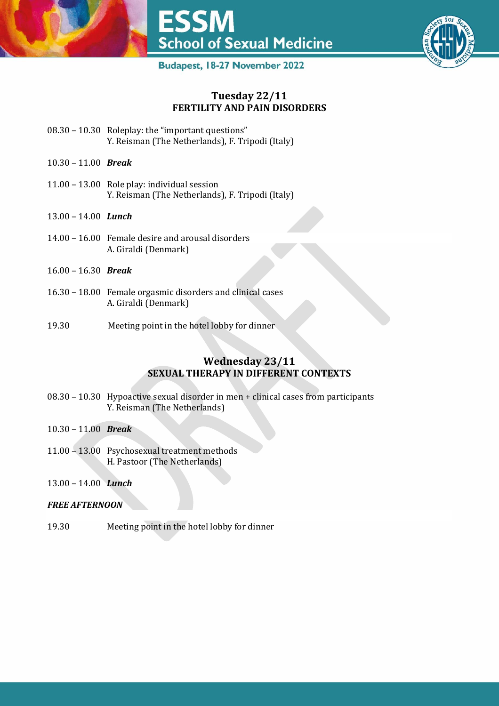



#### **Tuesday 22/11 FERTILITY AND PAIN DISORDERS**

- 08.30 10.30 Roleplay: the "important questions" Y. Reisman (The Netherlands), F. Tripodi (Italy)
- 10.30 11.00 *Break*
- 11.00 13.00 Role play: individual session Y. Reisman (The Netherlands), F. Tripodi (Italy)
- 13.00 14.00 *Lunch*
- 14.00 16.00 Female desire and arousal disorders A. Giraldi (Denmark)
- 16.00 16.30 *Break*
- 16.30 18.00 Female orgasmic disorders and clinical cases A. Giraldi (Denmark)
- 19.30 Meeting point in the hotel lobby for dinner

#### **Wednesday 23/11 SEXUAL THERAPY IN DIFFERENT CONTEXTS**

- 08.30 10.30 Hypoactive sexual disorder in men + clinical cases from participants Y. Reisman (The Netherlands)
- 10.30 11.00 *Break*
- 11.00 13.00 Psychosexual treatment methods H. Pastoor (The Netherlands)
- 13.00 14.00 *Lunch*

#### *FREE AFTERNOON*

19.30 Meeting point in the hotel lobby for dinner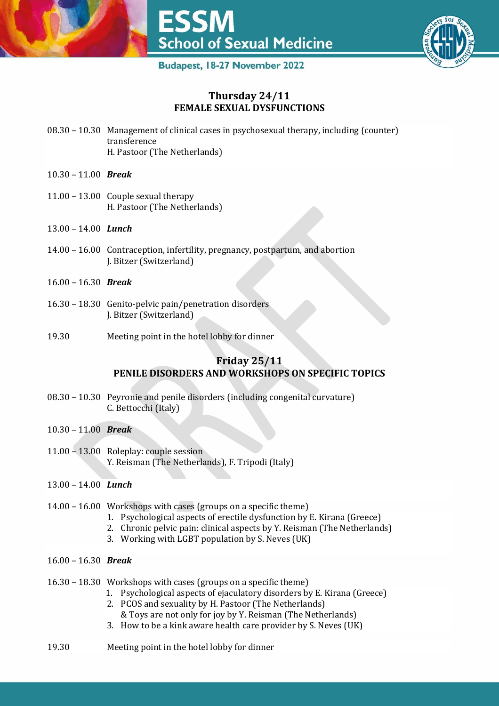



#### **Thursday 24/11 FEMALE SEXUAL DYSFUNCTIONS**

- 08.30 10.30 Management of clinical cases in psychosexual therapy, including (counter) transference H. Pastoor (The Netherlands)
- 10.30 11.00 *Break*
- 11.00 13.00 Couple sexual therapy H. Pastoor (The Netherlands)
- 13.00 14.00 *Lunch*
- 14.00 16.00 Contraception, infertility, pregnancy, postpartum, and abortion J. Bitzer (Switzerland)
- 16.00 16.30 *Break*
- 16.30 18.30 Genito-pelvic pain/penetration disorders J. Bitzer (Switzerland)
- 19.30 Meeting point in the hotel lobby for dinner

#### **Friday 25/11 PENILE DISORDERS AND WORKSHOPS ON SPECIFIC TOPICS**

- 08.30 10.30 Peyronie and penile disorders (including congenital curvature) C. Bettocchi (Italy)
- 10.30 11.00 *Break*
- 11.00 13.00 Roleplay: couple session Y. Reisman (The Netherlands), F. Tripodi (Italy)
- 13.00 14.00 *Lunch*
- 14.00 16.00 Workshops with cases (groups on a specific theme)
	- 1. Psychological aspects of erectile dysfunction by E. Kirana (Greece)
	- 2. Chronic pelvic pain: clinical aspects by Y. Reisman (The Netherlands)
	- 3. Working with LGBT population by S. Neves (UK)
- 16.00 16.30 *Break*
- 16.30 18.30 Workshops with cases (groups on a specific theme)
	- 1. Psychological aspects of ejaculatory disorders by E. Kirana (Greece)
	- 2. PCOS and sexuality by H. Pastoor (The Netherlands)
	- & Toys are not only for joy by Y. Reisman (The Netherlands)
	- 3. How to be a kink aware health care provider by S. Neves (UK)
- 19.30 Meeting point in the hotel lobby for dinner